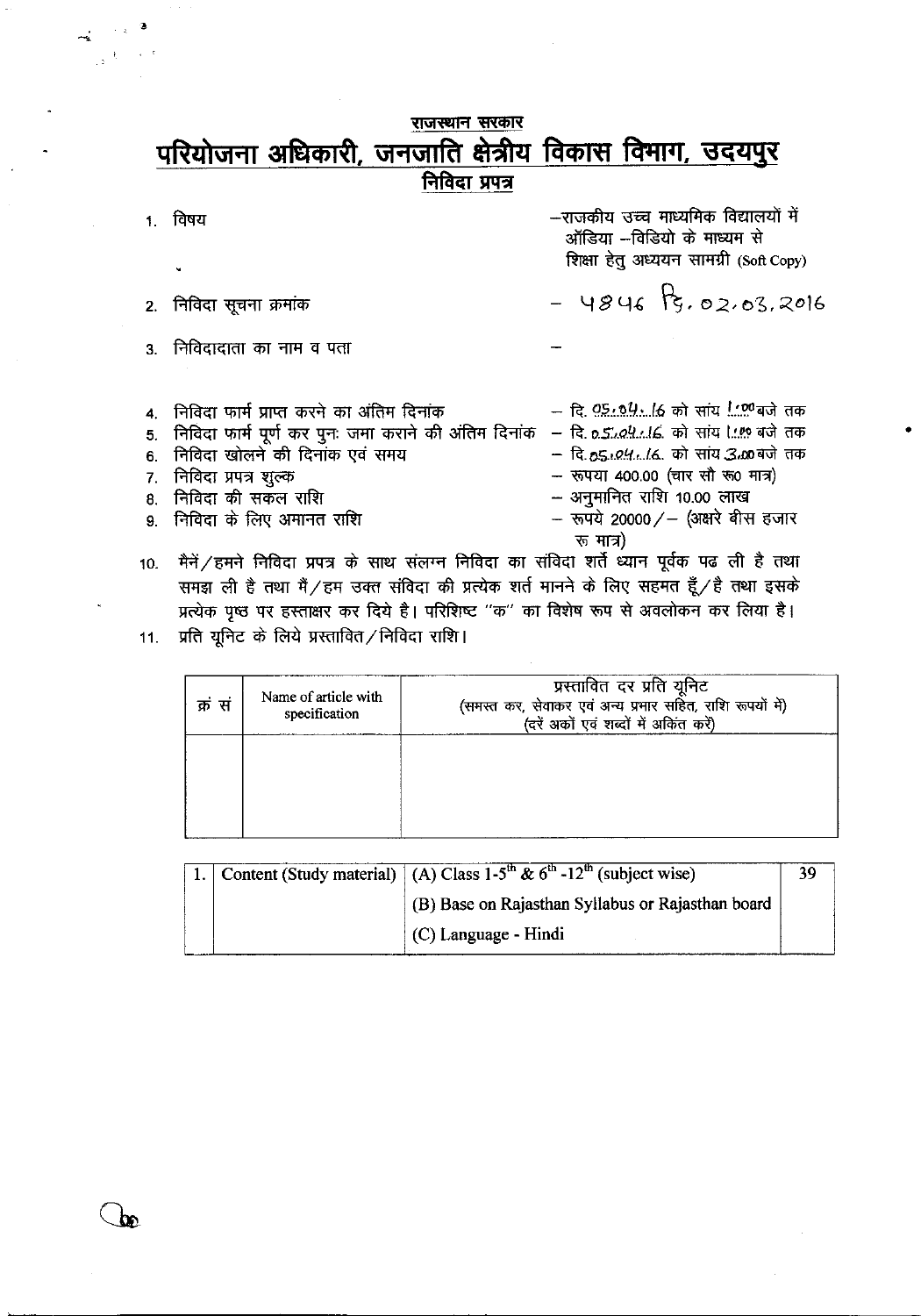# राजस्थान सरकार परियोजना अधिकारी, जनजाति क्षेत्रीय विकास विमाग, उदयपुर

निविदा प्रपत्र

|    | विषय                                                    | —राजकीय उच्च माध्यमिक विद्यालयों में<br>ऑडिया –विडियो के माध्यम से<br>शिक्षा हेतु अध्ययन सामग्री (Soft Copy) |
|----|---------------------------------------------------------|--------------------------------------------------------------------------------------------------------------|
|    |                                                         | $-$ 4846 $\frac{1}{3}$ , 02, 03, 2016                                                                        |
|    | 2. निविदा सूचना क्रमांक                                 |                                                                                                              |
|    | 3. निविदादाता का नाम व पता                              |                                                                                                              |
|    |                                                         |                                                                                                              |
|    |                                                         |                                                                                                              |
|    | 4. निविदा फार्म प्राप्त करने का अंतिम दिनांक            | – दि. <u>05, 04. (6</u> को सांय @बजे तक                                                                      |
|    | 5. निविदा फार्म पूर्ण कर पुनः जमा कराने की अंतिम दिनांक | - दि. o. <i>504</i> को सांय ! बजे तक                                                                         |
| 6. | निविदा खोलने की दिनांक एवं समय                          | – दि.55.04(6. को सांय 3.00 बजे तक                                                                            |
|    | 7 - निविदा प्रपत्र शुल्क                                | - रूपया 400.00 (चार सौ रू0 मात्र)                                                                            |
|    | 8. निविदा की सकल राशि                                   | -- अनुमानित राशि 10.00 लाख                                                                                   |
|    | 9. निविदा के लिए अमानत राशि                             | - रूपये 20000/- (अक्षरे बीस हजार                                                                             |

- रू मात्र) मैनें / हमने निविदा प्रपत्र के साथ संलग्न निविदा का संविदा शर्ते ध्यान पूर्वक पढ ली है तथा  $10.$ समझ ली है तथा मैं / हम उक्त संविदा की प्रत्येक शर्त मानने के लिए सहमत हूँ / है तथा इसके प्रत्येक पृष्ठ पर हस्ताक्षर कर दिये है। परिशिष्ट "क" का विशेष रूप से अवलोकन कर लिया है।
- 11. प्रति यूनिट के लिये प्रस्तावित/निविदा राशि।

| क्रं सं | Name of article with<br>specification | (दरें अकों एवं शब्दों में अकिंत करें) |
|---------|---------------------------------------|---------------------------------------|
|         |                                       |                                       |
|         |                                       |                                       |

|  | Content (Study material) $(A)$ Class 1-5 <sup>th</sup> & 6 <sup>th</sup> -12 <sup>th</sup> (subject wise) |  |
|--|-----------------------------------------------------------------------------------------------------------|--|
|  | (B) Base on Rajasthan Syllabus or Rajasthan board                                                         |  |
|  | $(C)$ Language - Hindi                                                                                    |  |

 $\epsilon$ 

 $\rightarrow$ <sup>t</sup>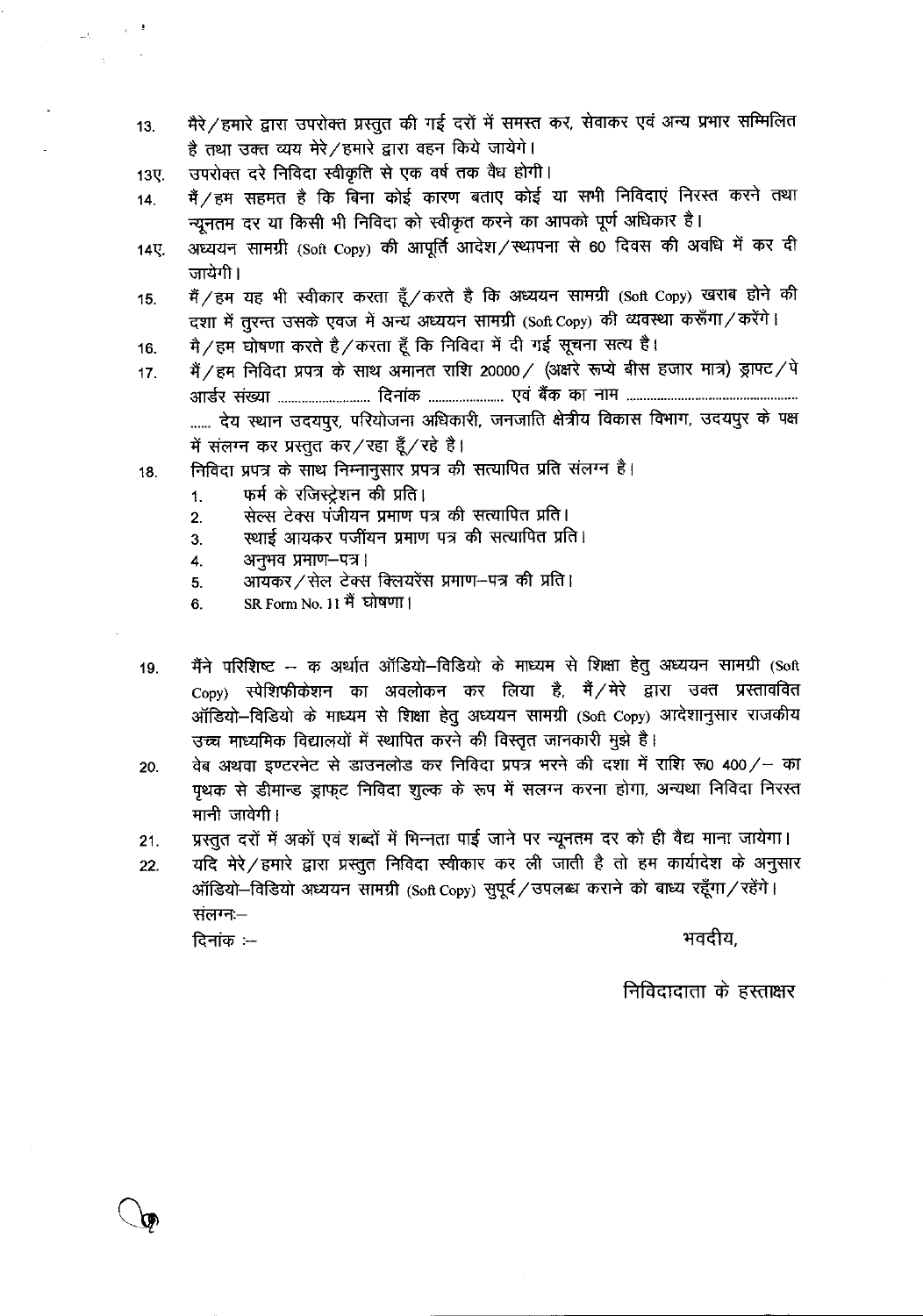- मैरे / हमारे द्वारा उपरोक्त प्रस्तुत की गई दरों में समस्त कर, सेवाकर एवं अन्य प्रभार सम्मिलित  $13.$ है तथा उक्त व्यय मेरे/हमारे द्वारा वहन किये जायेगे।
- उपरोक्त दरे निविदा स्वीकृति से एक वर्ष तक वैध होगी। 13ए.

 $\omega_{\rm C} = 10^{-4}$  $\sim$ 

- मैं / हम सहमत है कि बिना कोई कारण बताए कोई या सभी निविदाएं निरस्त करने तथा  $14.$ न्यूनतम दर या किसी भी निविदा को स्वीकृत करने का आपको पूर्ण अधिकार है।
- अध्ययन सामग्री (Soft Copy) की आपूर्ति आदेश/स्थापना से 60 दिवस की अवधि में कर दी 14尺 जायेगी ।
- मैं / हम यह भी स्वीकार करता हूँ / करते है कि अध्ययन सामग्री (Soft Copy) खराब होने की 15. दशा में तुरन्त उसके एवज में अन्य अध्ययन सामग्री (Soft Copy) की व्यवस्था करूँगा/करेंगे।
- मै/हम घोषणा करते है/करता हूँ कि निविदा में दी गई सूचना सत्य है।  $16.$
- मैं / हम निविदा प्रपत्र के साथ अमानत राशि 20000 / (अक्षरे रूप्ये बीस हजार मात्र) ड्राफ्ट / पे  $17.$ ...... देय स्थान उदयपुर, परियोजना अधिकारी, जनजाति क्षेत्रीय विकास विभाग, उदयपुर के पक्ष में संलग्न कर प्रस्तुत कर / रहा हूँ / रहे है।
- निविदा प्रपत्र के साथ निम्नानुसार प्रपत्र की सत्यापित प्रति संलग्न है। 18.
	- फर्म के रजिस्टेशन की प्रति।  $\ddagger$ .
	- सेल्स टेक्स पंजीयन प्रमाण पत्र की सत्यापित प्रति।  $\overline{2}$ .
	- स्थाई आयकर पजींयन प्रमाण पत्र की सत्यापित प्रति। 3.
	- अनुभवं प्रमाण-पत्र। 4.
	- आयकर / सेल टेक्स क्लियरेंस प्रमाण-पत्र की प्रति। 5.
	- SR Form No. 11 मैं घोषणा। 6
- मैंने परिशिष्ट क अर्थात ऑडियो-विडियो के माध्यम से शिक्षा हेतु अध्ययन सामग्री (Soft 19. Copy) स्पेशिफीकेशन का अवलोकन कर लिया है, मैं/मेरे द्वारा उक्त प्रस्ताववित ऑडियो-विडियो के माध्यम से शिक्षा हेतु अध्ययन सामग्री (Soft Copy) आदेशानुसार राजकीय उच्च माध्यमिक विद्यालयों में स्थापित करने की विस्तृत जानकारी मुझे है।
- वेब अथवा इण्टरनेट से डाउनलोड कर निविदा प्रपत्र भरने की दशा में राशि रू0 400/- का 20. पृथक से डीमान्ड ड्राफट निविदा शुल्क के रूप में सलग्न करना होगा, अन्यथा निविदा निरस्त मानी जावेगी।
- प्रस्तुत दरों में अकों एवं शब्दों में भिन्नता पाई जाने पर न्यूनतम दर को ही वैद्य माना जायेगा।  $21.$
- यदि मेरे / हमारे द्वारा प्रस्तुत निविदा स्वीकार कर ली जाती है तो हम कार्यादेश के अनुसार 22. ऑडियो-विडियो अध्ययन सामग्री (Soft Copy) सुपूर्द / उपलब्ध कराने को बाध्य रहूँगा / रहेंगे। संलग्न:-

दिनांक $=$ 

भवदीय.

निविदादाता के हस्ताक्षर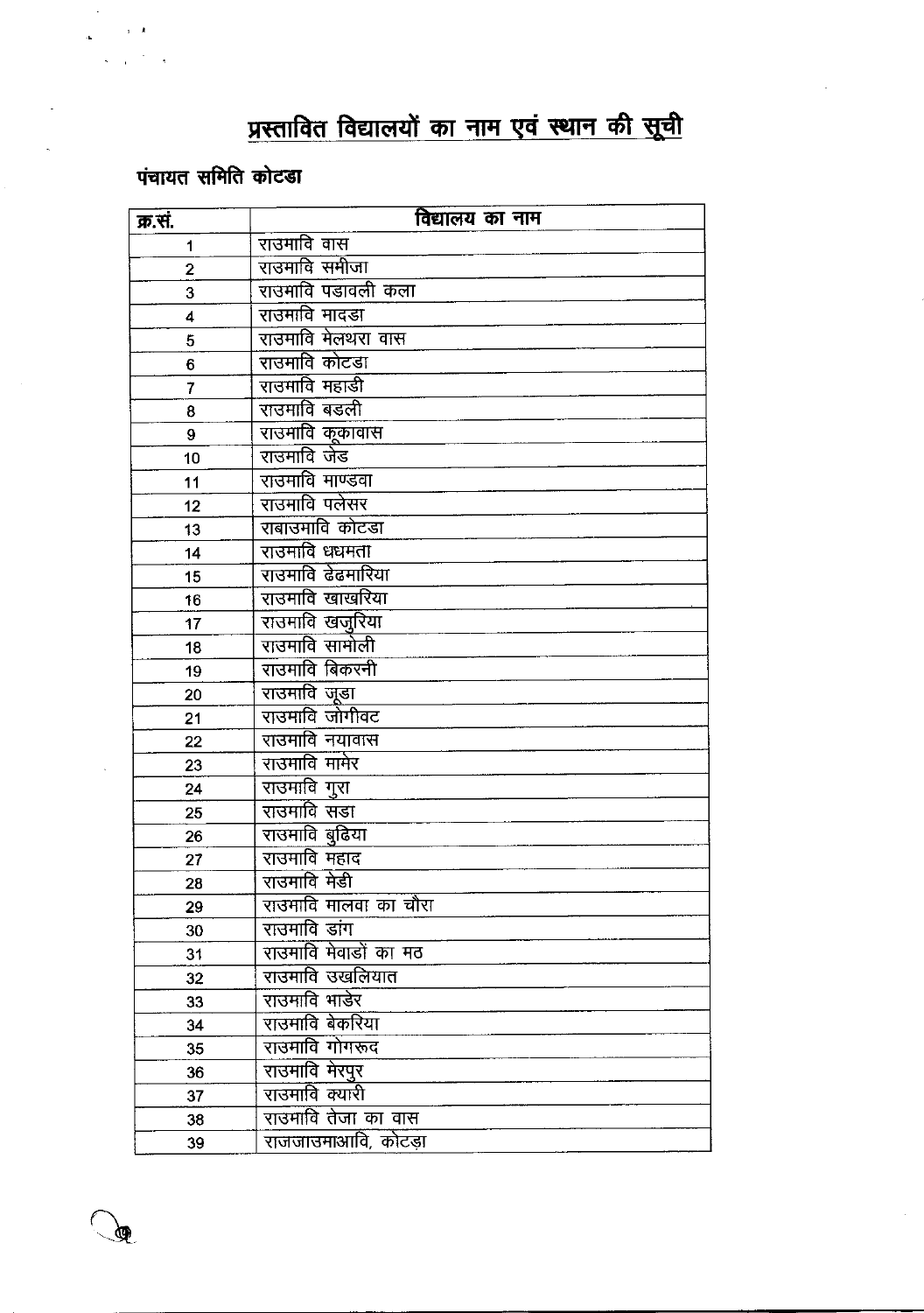# प्रस्तावित विद्यालयों का नाम एवं स्थान की सूची

# पंचायत समिति कोटडा

 $\mathbf{y}=\mathbf{z}$ 

ড়

| क्र.सं.     | विद्यालय का नाम              |
|-------------|------------------------------|
| 1           | राउमावि वास                  |
| $\mathbf 2$ | राउमावि समीजा                |
| 3           | राउमावि पडावली कला           |
| 4           | राउमावि मादडा                |
| 5           | राउमावि मेलथरा वास           |
| 6           | राउमावि कोटडा                |
| 7           | राउमावि महाडी                |
| 8           | राउमावि बडली                 |
| 9           | राउमावि कूकावास              |
| 10          | राउमावि जेड                  |
| 11          | राउमावि माण्डवा              |
| 12          | राउमावि पलेसर                |
| 13          | राबाउमावि कोटडा              |
| 14          | राउमावि धधमता                |
| 15          | राउमावि ढेढमारिया            |
| 16          | राउमावि खाखरिया              |
| 17          | राउमावि खजुरिया              |
| 18          | राउमावि सामोली               |
| 19          | राउमावि बिकरनी               |
| 20          | राउमावि जूडा                 |
| 21          | राउमावि जोगीवट               |
| 22          | राउमावि नयावास               |
| 23          | राउमावि मामेर                |
| 24          | राउमावि गुरा                 |
| 25          | राउमावि सडा                  |
| 26          | राउमावि बुढिया               |
| 27          | राउमावि महाद                 |
| 28          | राउमावि मेडी                 |
| 29          | <u>राउमावि मालवा का चौरा</u> |
| 30          | राउमावि डांग                 |
| 31          | राउमावि मेवाडों का मठ        |
| 32          | राउमावि उखलियात              |
| 33          | राउमावि भाडेर                |
| 34          | राउमावि बेकरिया              |
| 35          | राउमावि गोगरूद               |
| 36          | राउमावि मेरपुर               |
| 37          | राउमावि क्यारी               |
| 38          | राउमावि तेजा का वास          |
| 39          | राजजाउमाआवि, कोटड़ा          |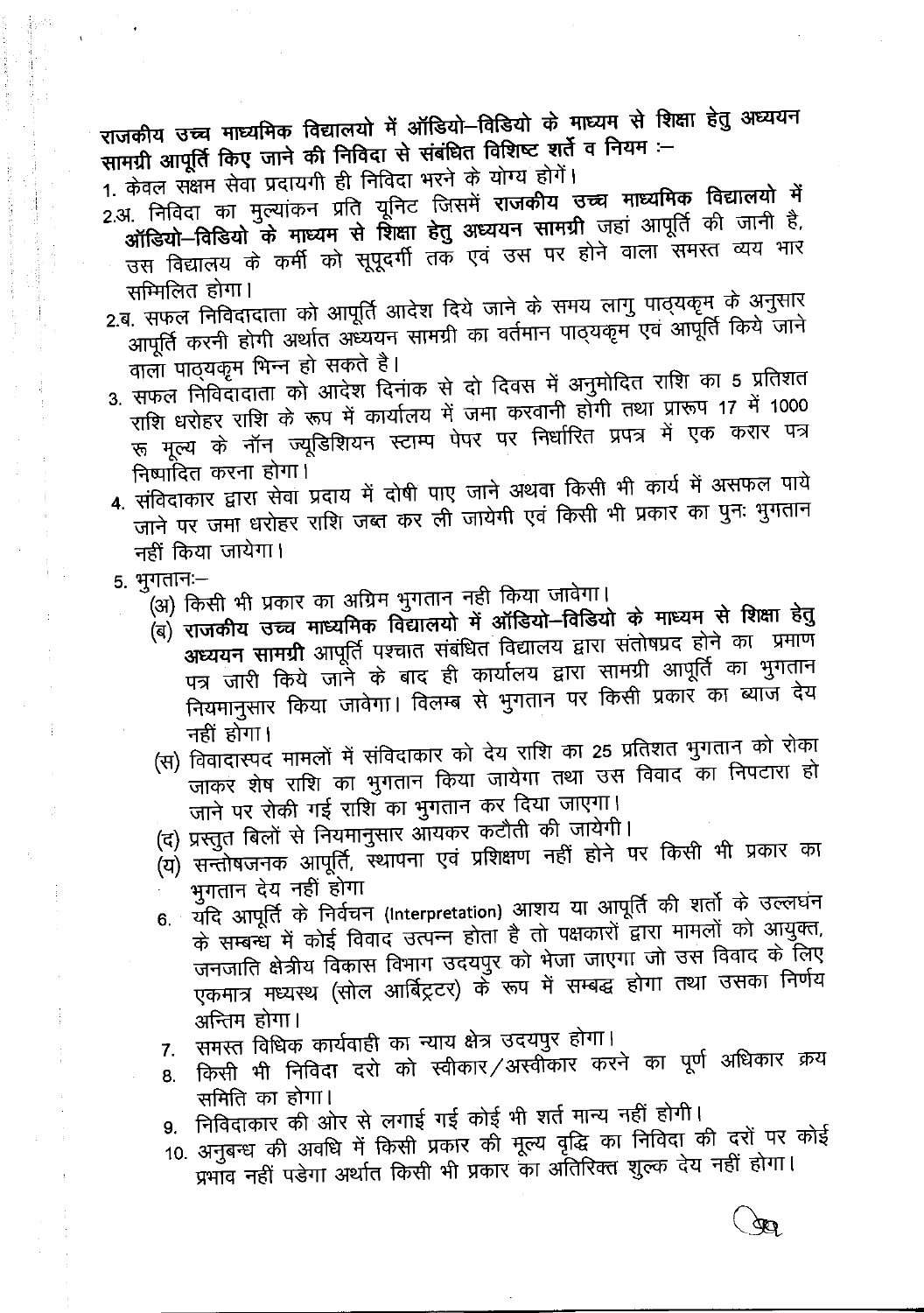राजकीय उच्च माध्यमिक विद्यालयो में ऑडियो-विडियो के माध्यम से शिक्षा हेतु अध्ययन सामग्री आपूर्ति किए जाने की निविदा से संबंधित विशिष्ट शर्ते व नियम :-

1. केवल संक्षम सेवा प्रदायगी ही निविदा भरने के योग्य होगें।

- 2.अ. निविदा का मुल्यांकन प्रति यूनिट जिसमें राजकीय उच्च माध्यमिक विद्यालयो में ऑडियो-विडियो के माध्यम से शिक्षा हेतु अध्ययन सामग्री जहां आपूर्ति की जानी है, उस विद्यालय के कर्मी को सूपूदर्गी तक एवं उस पर होने वाला समस्त व्यय भार सम्मिलित होगा।
- 2.ब. सफल निविदादाता को आपूर्ति आदेश दिये जाने के समय लागु पाठ्यकृम के अनुसार आपूर्ति करनी होगी अर्थात अध्ययन सामग्री का वर्तमान पाठ्यकृम एवं आपूर्ति किये जाने वाला पाठ्यकूम भिन्न हो सकते है।
- 3. सफल निविदादाता को आदेश दिनांक से दो दिवस में अनुमोदित राशि का 5 प्रतिशत राशि धरोहर राशि के रूप में कार्यालय में जमा करवानी होंगी तथा प्रारूप 17 में 1000 रू मूल्य के नॉन ज्यूडिशियन स्टाम्प पेपर पर निर्धारित प्रपत्र में एक करार पत्र निष्पादित करना होगा।
- 4. संविदाकार द्वारा सेवा प्रदाय में दोषी पाए जाने अथवा किसी भी कार्य में असफल पाये जाने पर जमा धरोहर राशि जब्त कर ली जायेगी एवं किसी भी प्रकार का पुनः भुगतान नहीं किया जायेगा।
- 5. भुगतानः-
	- (अ) किसी भी प्रकार का अग्रिम भुगतान नही किया जावेगा।
	- (ब) राजकीय उच्च माध्यमिक विद्यालयो में ऑडियो–विडियो के माध्यम से शिक्षा हेतु अध्ययन सामग्री आपूर्ति पश्चात संबंधित विद्यालय द्वारा संतोषप्रद होने का प्रमाण पत्र जारी किये जाने के बाद ही कार्यालय द्वारा सामग्री आपूर्ति का भुगतान नियमानुसार किया जावेगा। विलम्ब से भुगतान पर किसी प्रकार का ब्याज देय नहीं होगा।
	- (स) विवादास्पद मामलों में संविदाकार को देय राशि का 25 प्रतिशत भुगतान को रोका जाकर शेष राशि का भुगतान किया जायेगा तथा उस विवाद का निपटारा हो जाने पर रोकी गई राशि का भुगतान कर दिया जाएगा।
	- (द) प्रस्तुत बिलों से नियमानुसार आयकर कटौती की जायेगी।
	- (य) सन्तोषजनक आपूर्ति, स्थापना एवं प्रशिक्षण नहीं होने पर किसी भी प्रकार का भुगतान देय नहीं होगा
	- 6. यदि आपूर्ति के निर्वचन (Interpretation) आशय या आपूर्ति की शर्तो के उल्लघंन के सम्बन्ध में कोई विवाद उत्पन्न होता है तो पक्षकारों द्वारा मामलों को आयुक्त, जनजाति क्षेत्रीय विकास विभाग उदयपुर को भेजा जाएगा जो उस विवाद के लिए एकमात्र मध्यस्थ (सोल आर्बिट्रटर) के रूप में सम्बद्ध होगा तथा उसका निर्णय अन्तिम होगा।
	- समस्त विधिक कार्यवाही का न्याय क्षेत्र उदयपुर होगा।  $7.$
	- किसी भी निविदा दरो को स्वीकार /अस्वीकार करने का पूर्ण अधिकार क्रय 8. समिति का होगा।
	- 9. निविदाकार की ओर से लगाई गई कोई भी शर्त मान्य नहीं होगी।
	- 10. अनुबन्ध की अवधि में किसी प्रकार की मूल्य वृद्धि का निविदा की दरों पर कोई प्रभाव नहीं पड़ेगा अर्थात किसी भी प्रकार का अंतिरिक्त शुल्क देय नहीं होगा।

 $\mathfrak{B}$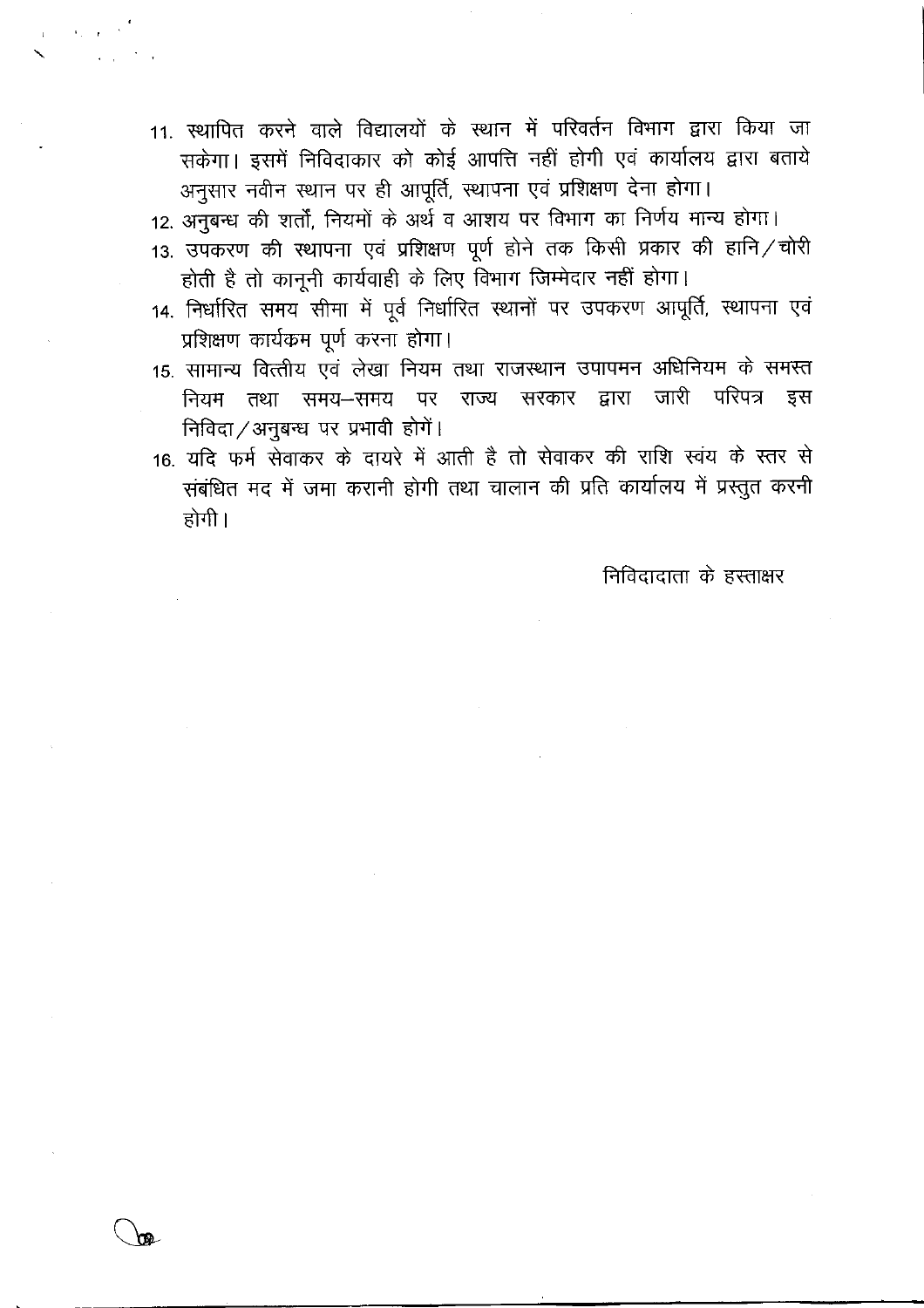- 11. स्थापित करने वाले विद्यालयों के स्थान में परिवर्तन विभाग द्वारा किया जा सकेगा। इसमें निविदाकार को कोई आपत्ति नहीं होगी एवं कार्यालय द्वारा बताये अनुसार नवीन स्थान पर ही आपूर्ति, स्थापना एवं प्रशिक्षण देना होगा।
- 12. अनुबन्ध की शर्तों, नियमों के अर्थ व आशय पर विभाग का निर्णय मान्य होगा।
- 13. उपकरण की स्थापना एवं प्रशिक्षण पूर्ण होने तक किसी प्रकार की हानि/चोरी होती है तो कानूनी कार्यवाही के लिए विभाग जिम्मेदार नहीं होगा।
- 14. निर्धारित समय सीमा में पूर्व निर्धारित स्थानों पर उपकरण आपूर्ति, स्थापना एवं प्रशिक्षण कार्यकम पूर्ण करना होगा।
- 15. सामान्य वित्त्तीय एवं लेखा नियम तथा राजस्थान उपापमन अधिनियम के समस्त नियम तथा समय-समय पर राज्य सरकार द्वारा जारी परिपत्र इस निविदा / अनुबन्ध पर प्रभावी होगें।
- 16. यदि फर्म सेवाकर के दायरे में आती है तो सेवाकर की राशि स्वंय के स्तर से संबंधित मद में जमा करानी होगी तथा चालान की प्रति कार्यालय में प्रस्तुत करनी होगी ।

निविदादाता के हस्ताक्षर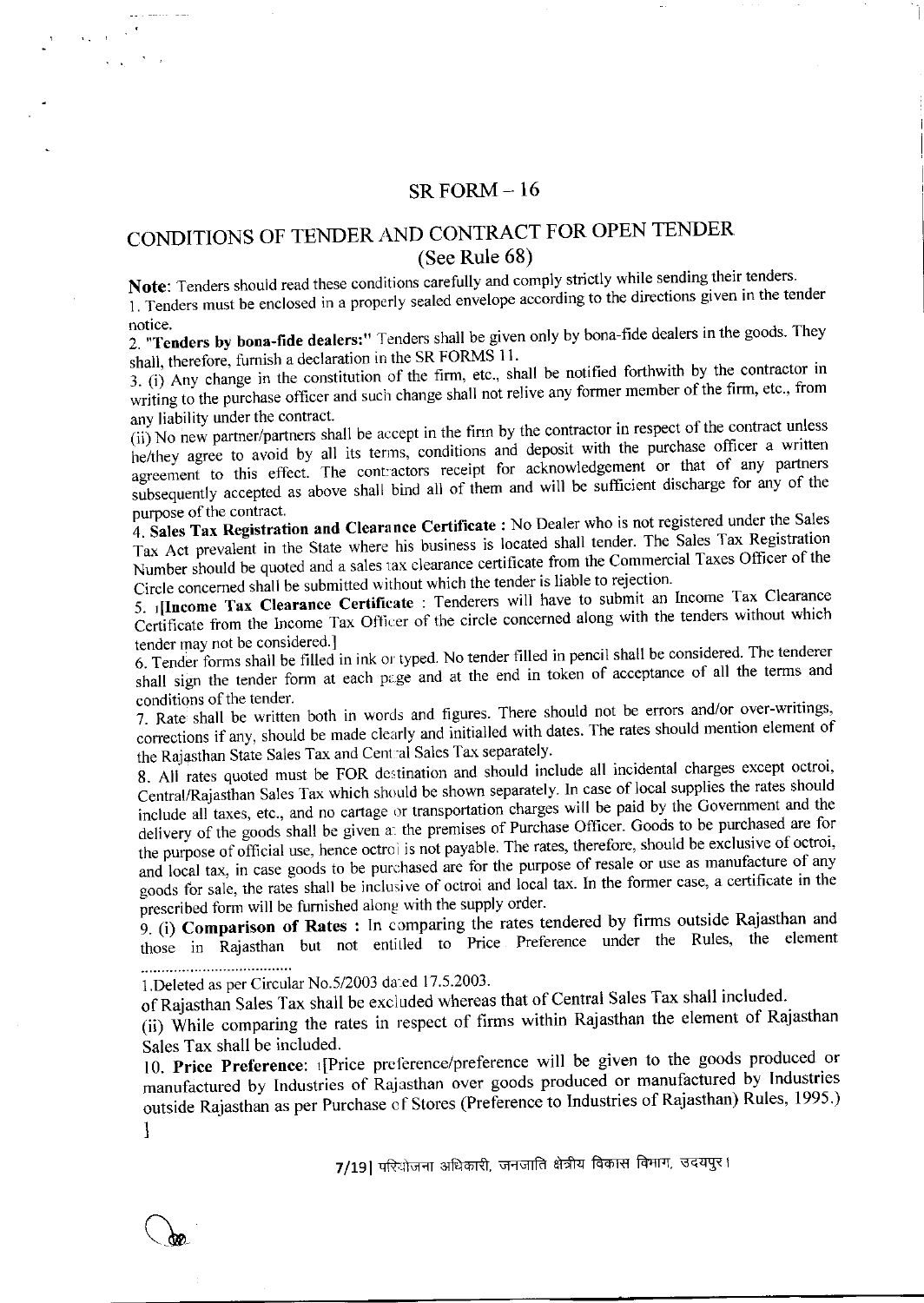#### $SR FORM - 16$

## CONDITIONS OF TENDER AND CONTRACT FOR OPEN TENDER (See Rule 68)

Note: Tenders should read these conditions carefully and comply strictly while sending their tenders.

1. Tenders must be enclosed in a properly sealed envelope according to the directions given in the tender notice.

2. "Tenders by bona-fide dealers:" Tenders shall be given only by bona-fide dealers in the goods. They shall, therefore, furnish a declaration in the SR FORMS 11.

3. (i) Any change in the constitution of the firm, etc., shall be notified forthwith by the contractor in writing to the purchase officer and such change shall not relive any former member of the firm, etc., from any liability under the contract.

(ii) No new partner/partners shall be accept in the firm by the contractor in respect of the contract unless he/they agree to avoid by all its terms, conditions and deposit with the purchase officer a written agreement to this effect. The contractors receipt for acknowledgement or that of any partners subsequently accepted as above shall bind all of them and will be sufficient discharge for any of the purpose of the contract.

4. Sales Tax Registration and Clearance Certificate : No Dealer who is not registered under the Sales Tax Act prevalent in the State where his business is located shall tender. The Sales Tax Registration Number should be quoted and a sales tax clearance certificate from the Commercial Taxes Officer of the Circle concerned shall be submitted without which the tender is liable to rejection.

5. [Income Tax Clearance Certificate : Tenderers will have to submit an Income Tax Clearance Certificate from the Income Tax Officer of the circle concerned along with the tenders without which tender may not be considered.]

6. Tender forms shall be filled in ink or typed. No tender filled in pencil shall be considered. The tenderer shall sign the tender form at each page and at the end in token of acceptance of all the terms and conditions of the tender.

7. Rate shall be written both in words and figures. There should not be errors and/or over-writings, corrections if any, should be made clearly and initialled with dates. The rates should mention element of the Rajasthan State Sales Tax and Central Sales Tax separately.

8. All rates quoted must be FOR destination and should include all incidental charges except octroi, Central/Rajasthan Sales Tax which should be shown separately. In case of local supplies the rates should include all taxes, etc., and no cartage or transportation charges will be paid by the Government and the delivery of the goods shall be given a: the premises of Purchase Officer. Goods to be purchased are for the purpose of official use, hence octrol is not payable. The rates, therefore, should be exclusive of octroi, and local tax, in case goods to be purchased are for the purpose of resale or use as manufacture of any goods for sale, the rates shall be inclusive of octroi and local tax. In the former case, a certificate in the prescribed form will be furnished along with the supply order.

9. (i) Comparison of Rates : In comparing the rates tendered by firms outside Rajasthan and those in Rajasthan but not entitled to Price Preference under the Rules, the element 

1. Deleted as per Circular No. 5/2003 dated 17.5.2003.

of Rajasthan Sales Tax shall be excluded whereas that of Central Sales Tax shall included.

(ii) While comparing the rates in respect of firms within Rajasthan the element of Rajasthan Sales Tax shall be included.

10. Price Preference: 1[Price preference/preference will be given to the goods produced or manufactured by Industries of Rajasthan over goods produced or manufactured by Industries outside Rajasthan as per Purchase of Stores (Preference to Industries of Rajasthan) Rules, 1995.) 1

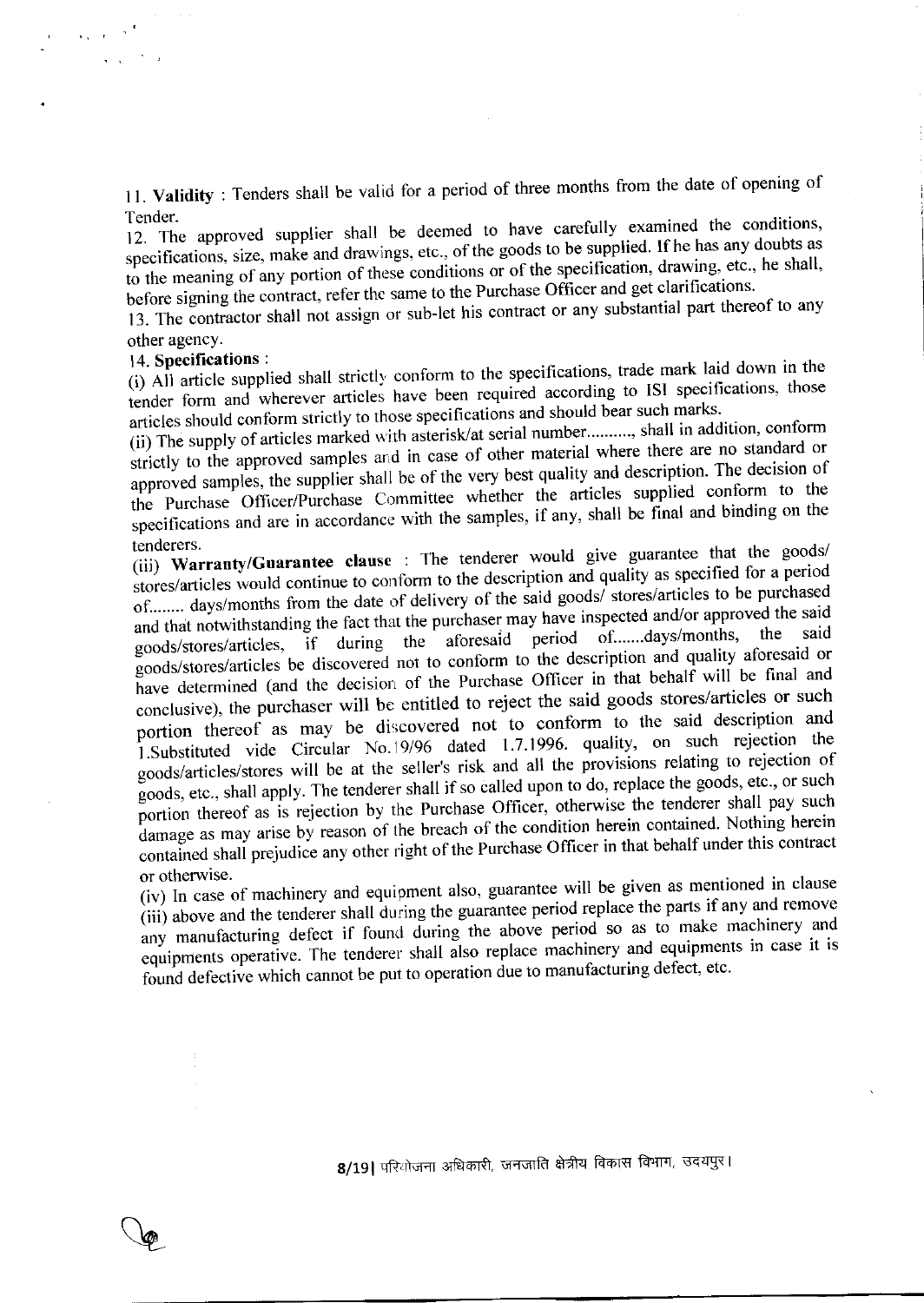11. Validity: Tenders shall be valid for a period of three months from the date of opening of Tender.

12. The approved supplier shall be deemed to have carefully examined the conditions, specifications, size, make and drawings, etc., of the goods to be supplied. If he has any doubts as to the meaning of any portion of these conditions or of the specification, drawing, etc., he shall, before signing the contract, refer the same to the Purchase Officer and get clarifications.

13. The contractor shall not assign or sub-let his contract or any substantial part thereof to any other agency.

#### 14. Specifications:

 $\ddot{\phantom{a}}$ 

(i) All article supplied shall strictly conform to the specifications, trade mark laid down in the tender form and wherever articles have been required according to ISI specifications, those articles should conform strictly to those specifications and should bear such marks.

(ii) The supply of articles marked with asterisk/at serial number.........., shall in addition, conform strictly to the approved samples and in case of other material where there are no standard or approved samples, the supplier shall be of the very best quality and description. The decision of the Purchase Officer/Purchase Committee whether the articles supplied conform to the specifications and are in accordance with the samples, if any, shall be final and binding on the tenderers.

(iii) Warranty/Guarantee clause : The tenderer would give guarantee that the goods/ stores/articles would continue to conform to the description and quality as specified for a period of........ days/months from the date of delivery of the said goods/ stores/articles to be purchased and that notwithstanding the fact that the purchaser may have inspected and/or approved the said the said goods/stores/articles, if during the aforesaid period of.......days/months, goods/stores/articles be discovered not to conform to the description and quality aforesaid or have determined (and the decision of the Purchase Officer in that behalf will be final and conclusive), the purchaser will be entitled to reject the said goods stores/articles or such portion thereof as may be discovered not to conform to the said description and 1. Substituted vide Circular No. 19/96 dated 1.7.1996. quality, on such rejection the goods/articles/stores will be at the seller's risk and all the provisions relating to rejection of goods, etc., shall apply. The tenderer shall if so called upon to do, replace the goods, etc., or such portion thereof as is rejection by the Purchase Officer, otherwise the tenderer shall pay such damage as may arise by reason of the breach of the condition herein contained. Nothing herein contained shall prejudice any other right of the Purchase Officer in that behalf under this contract or otherwise.

(iv) In case of machinery and equipment also, guarantee will be given as mentioned in clause (iii) above and the tenderer shall during the guarantee period replace the parts if any and remove any manufacturing defect if found during the above period so as to make machinery and equipments operative. The tenderer shall also replace machinery and equipments in case it is found defective which cannot be put to operation due to manufacturing defect, etc.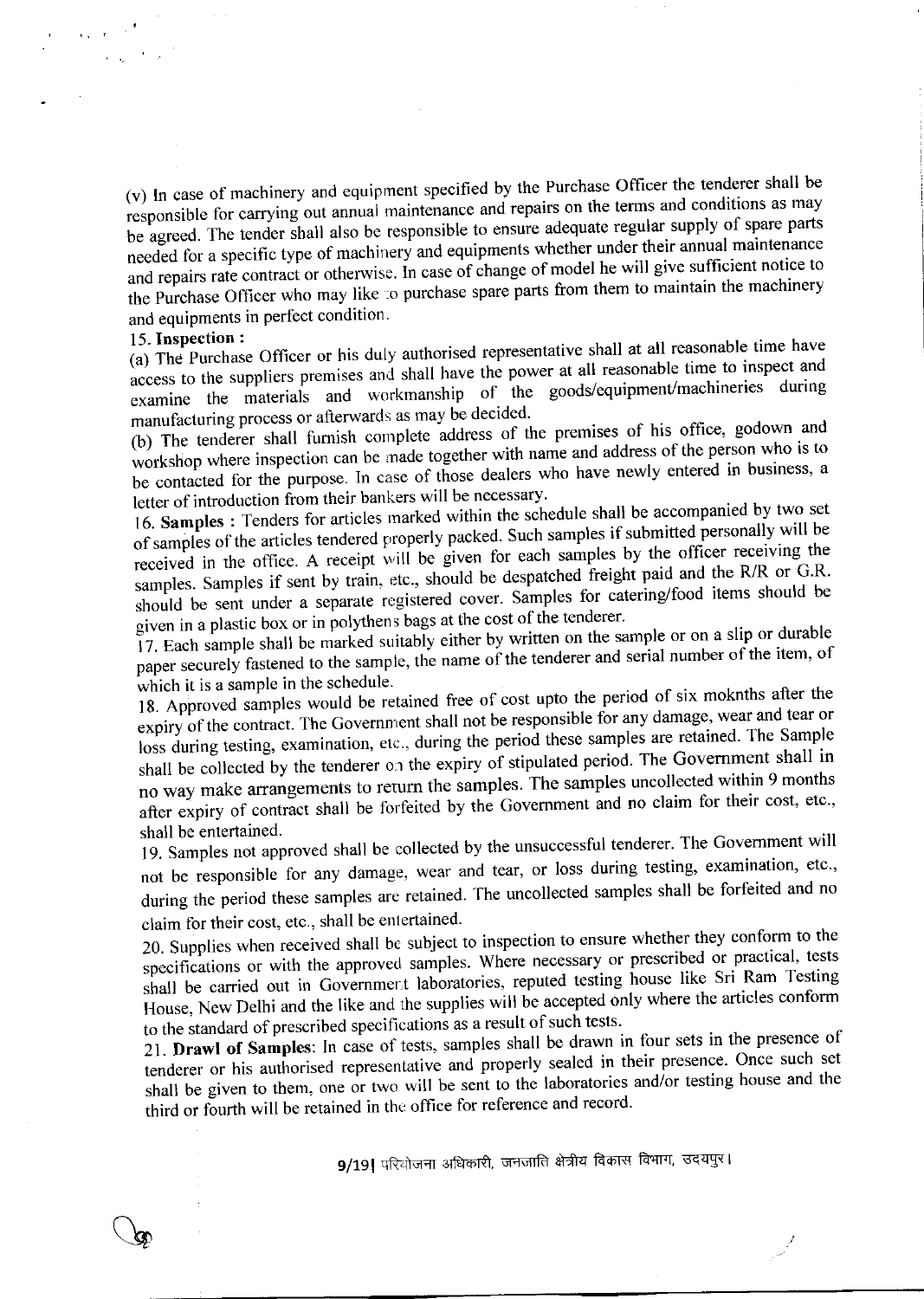(v) In case of machinery and equipment specified by the Purchase Officer the tenderer shall be responsible for carrying out annual maintenance and repairs on the terms and conditions as may be agreed. The tender shall also be responsible to ensure adequate regular supply of spare parts needed for a specific type of machinery and equipments whether under their annual maintenance and repairs rate contract or otherwise. In case of change of model he will give sufficient notice to the Purchase Officer who may like to purchase spare parts from them to maintain the machinery and equipments in perfect condition.

#### 15. Inspection:

 $\mathcal{L}$ 

(a) The Purchase Officer or his duly authorised representative shall at all reasonable time have access to the suppliers premises and shall have the power at all reasonable time to inspect and examine the materials and workmanship of the goods/equipment/machineries during manufacturing process or afterwards as may be decided.

(b) The tenderer shall furnish complete address of the premises of his office, godown and workshop where inspection can be made together with name and address of the person who is to be contacted for the purpose. In case of those dealers who have newly entered in business, a letter of introduction from their bankers will be necessary.

16. Samples : Tenders for articles marked within the schedule shall be accompanied by two set of samples of the articles tendered properly packed. Such samples if submitted personally will be received in the office. A receipt will be given for each samples by the officer receiving the samples. Samples if sent by train, etc., should be despatched freight paid and the R/R or G.R. should be sent under a separate registered cover. Samples for catering/food items should be given in a plastic box or in polythens bags at the cost of the tenderer.

17. Each sample shall be marked suitably either by written on the sample or on a slip or durable paper securely fastened to the sample, the name of the tenderer and serial number of the item, of which it is a sample in the schedule.

18. Approved samples would be retained free of cost upto the period of six moknths after the expiry of the contract. The Government shall not be responsible for any damage, wear and tear or loss during testing, examination, etc., during the period these samples are retained. The Sample shall be collected by the tenderer on the expiry of stipulated period. The Government shall in no way make arrangements to return the samples. The samples uncollected within 9 months after expiry of contract shall be forfeited by the Government and no claim for their cost, etc., shall be entertained.

19. Samples not approved shall be collected by the unsuccessful tenderer. The Government will not be responsible for any damage, wear and tear, or loss during testing, examination, etc., during the period these samples are retained. The uncollected samples shall be forfeited and no claim for their cost, etc., shall be entertained.

20. Supplies when received shall be subject to inspection to ensure whether they conform to the specifications or with the approved samples. Where necessary or prescribed or practical, tests shall be carried out in Government laboratories, reputed testing house like Sri Ram Testing House, New Delhi and the like and the supplies will be accepted only where the articles conform to the standard of prescribed specifications as a result of such tests.

21. Drawl of Samples: In case of tests, samples shall be drawn in four sets in the presence of tenderer or his authorised representative and properly sealed in their presence. Once such set shall be given to them, one or two will be sent to the laboratories and/or testing house and the third or fourth will be retained in the office for reference and record.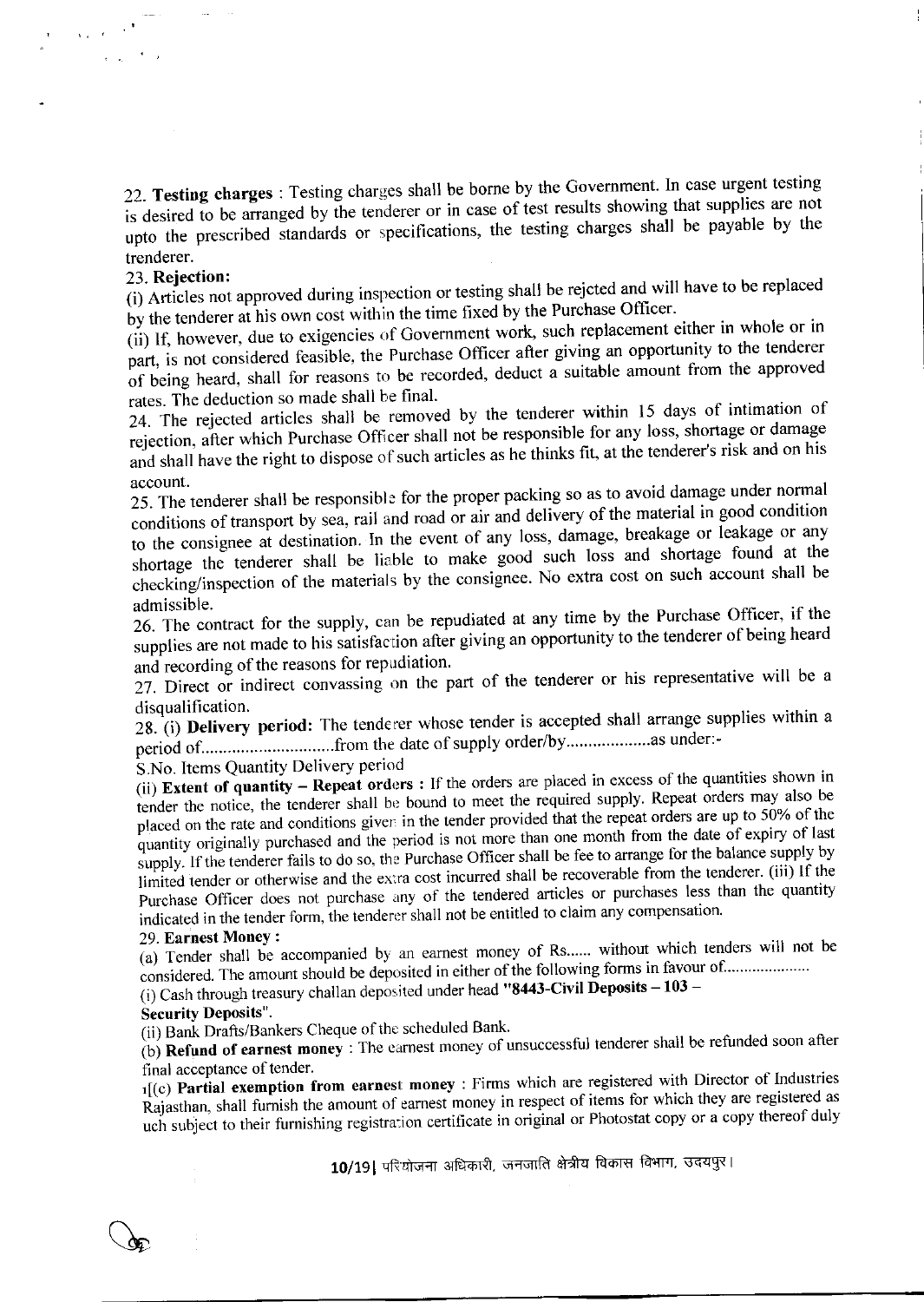22. Testing charges : Testing charges shall be borne by the Government. In case urgent testing is desired to be arranged by the tenderer or in case of test results showing that supplies are not upto the prescribed standards or specifications, the testing charges shall be payable by the trenderer.

#### 23. Rejection:

 $\sim$   $\sim$ 

(i) Articles not approved during inspection or testing shall be rejcted and will have to be replaced by the tenderer at his own cost within the time fixed by the Purchase Officer.

(ii) If, however, due to exigencies of Government work, such replacement either in whole or in part, is not considered feasible, the Purchase Officer after giving an opportunity to the tenderer of being heard, shall for reasons to be recorded, deduct a suitable amount from the approved rates. The deduction so made shall be final.

24. The rejected articles shall be removed by the tenderer within 15 days of intimation of rejection, after which Purchase Officer shall not be responsible for any loss, shortage or damage and shall have the right to dispose of such articles as he thinks fit, at the tenderer's risk and on his account.

25. The tenderer shall be responsible for the proper packing so as to avoid damage under normal conditions of transport by sea, rail and road or air and delivery of the material in good condition to the consignee at destination. In the event of any loss, damage, breakage or leakage or any shortage the tenderer shall be liable to make good such loss and shortage found at the checking/inspection of the materials by the consignee. No extra cost on such account shall be admissible.

26. The contract for the supply, can be repudiated at any time by the Purchase Officer, if the supplies are not made to his satisfaction after giving an opportunity to the tenderer of being heard and recording of the reasons for repudiation.

27. Direct or indirect convassing on the part of the tenderer or his representative will be a disqualification.

28. (i) Delivery period: The tenderer whose tender is accepted shall arrange supplies within a 

S.No. Items Quantity Delivery period

(ii) Extent of quantity - Repeat orders : If the orders are placed in excess of the quantities shown in tender the notice, the tenderer shall be bound to meet the required supply. Repeat orders may also be placed on the rate and conditions given in the tender provided that the repeat orders are up to 50% of the quantity originally purchased and the period is not more than one month from the date of expiry of last supply. If the tenderer fails to do so, the Purchase Officer shall be fee to arrange for the balance supply by limited tender or otherwise and the extra cost incurred shall be recoverable from the tenderer. (iii) If the Purchase Officer does not purchase any of the tendered articles or purchases less than the quantity indicated in the tender form, the tenderer shall not be entitled to claim any compensation.

#### 29. Earnest Money:

(a) Tender shall be accompanied by an earnest money of Rs...... without which tenders will not be considered. The amount should be deposited in either of the following forms in favour of .....................

(i) Cash through treasury challan deposited under head "8443-Civil Deposits  $-103$  -

#### **Security Deposits".**

(ii) Bank Drafts/Bankers Cheque of the scheduled Bank.

(b) Refund of earnest money : The earnest money of unsuccessful tenderer shall be refunded soon after final acceptance of tender.

1[(c) Partial exemption from earnest money : Firms which are registered with Director of Industries Rajasthan, shall furnish the amount of earnest money in respect of items for which they are registered as uch subject to their furnishing registration certificate in original or Photostat copy or a copy thereof duly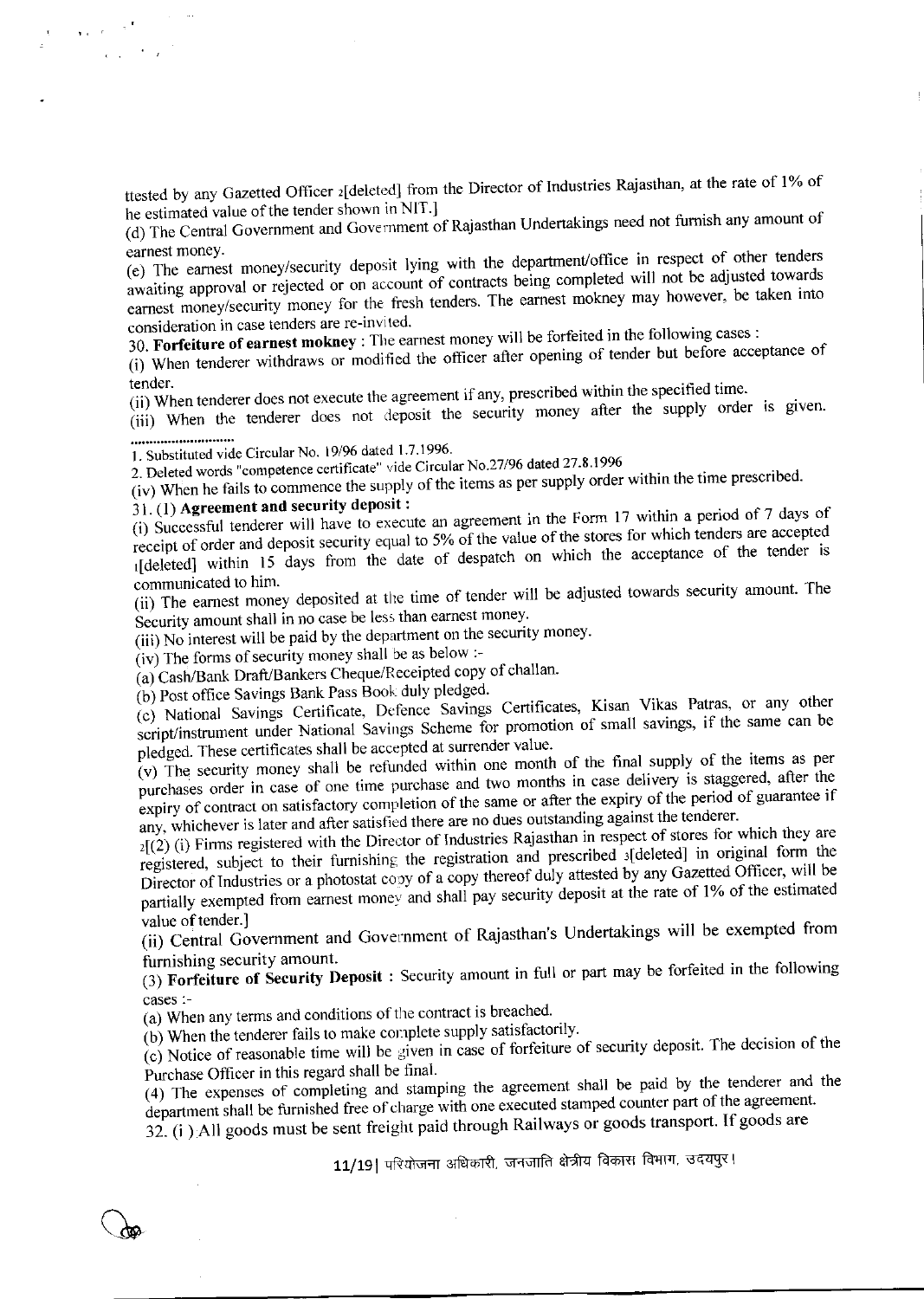ttested by any Gazetted Officer 2[deleted] from the Director of Industries Rajasthan, at the rate of 1% of he estimated value of the tender shown in NIT.]

(d) The Central Government and Government of Rajasthan Undertakings need not furnish any amount of earnest money.

(e) The earnest money/security deposit lying with the department/office in respect of other tenders awaiting approval or rejected or on account of contracts being completed will not be adjusted towards earnest money/security money for the fresh tenders. The earnest mokney may however, be taken into consideration in case tenders are re-invited.

30. Forfeiture of earnest mokney : The earnest money will be forfeited in the following cases :

(i) When tenderer withdraws or modified the officer after opening of tender but before acceptance of tender.

(ii) When tenderer does not execute the agreement if any, prescribed within the specified time.

(iii) When the tenderer does not deposit the security money after the supply order is given.

1. Substituted vide Circular No. 19/96 dated 1.7.1996.

2. Deleted words "competence certificate" vide Circular No.27/96 dated 27.8.1996

(iv) When he fails to commence the supply of the items as per supply order within the time prescribed.

## 31. (1) Agreement and security deposit:

 $\sim$ 

(i) Successful tenderer will have to execute an agreement in the Form 17 within a period of 7 days of receipt of order and deposit security equal to 5% of the value of the stores for which tenders are accepted 1[deleted] within 15 days from the date of despatch on which the acceptance of the tender is communicated to him.

(ii) The earnest money deposited at the time of tender will be adjusted towards security amount. The Security amount shall in no case be less than earnest money.

(iii) No interest will be paid by the department on the security money.

(iv) The forms of security money shall be as below :-

(a) Cash/Bank Draft/Bankers Cheque/Receipted copy of challan.

(b) Post office Savings Bank Pass Book duly pledged.

(c) National Savings Certificate, Defence Savings Certificates, Kisan Vikas Patras, or any other script/instrument under National Savings Scheme for promotion of small savings, if the same can be pledged. These certificates shall be accepted at surrender value.

(v) The security money shall be refunded within one month of the final supply of the items as per purchases order in case of one time purchase and two months in case delivery is staggered, after the expiry of contract on satisfactory completion of the same or after the expiry of the period of guarantee if any, whichever is later and after satisfied there are no dues outstanding against the tenderer.

 $2[(2)(i)$  Firms registered with the Director of Industries Rajasthan in respect of stores for which they are registered, subject to their furnishing the registration and prescribed s[deleted] in original form the Director of Industries or a photostat copy of a copy thereof duly attested by any Gazetted Officer, will be partially exempted from earnest money and shall pay security deposit at the rate of 1% of the estimated value of tender.]

(ii) Central Government and Government of Rajasthan's Undertakings will be exempted from furnishing security amount.

(3) Forfeiture of Security Deposit : Security amount in full or part may be forfeited in the following cases :-

(a) When any terms and conditions of the contract is breached.

(b) When the tenderer fails to make complete supply satisfactorily.

(c) Notice of reasonable time will be given in case of forfeiture of security deposit. The decision of the Purchase Officer in this regard shall be final.

(4) The expenses of completing and stamping the agreement shall be paid by the tenderer and the department shall be furnished free of charge with one executed stamped counter part of the agreement.

32. (i) All goods must be sent freight paid through Railways or goods transport. If goods are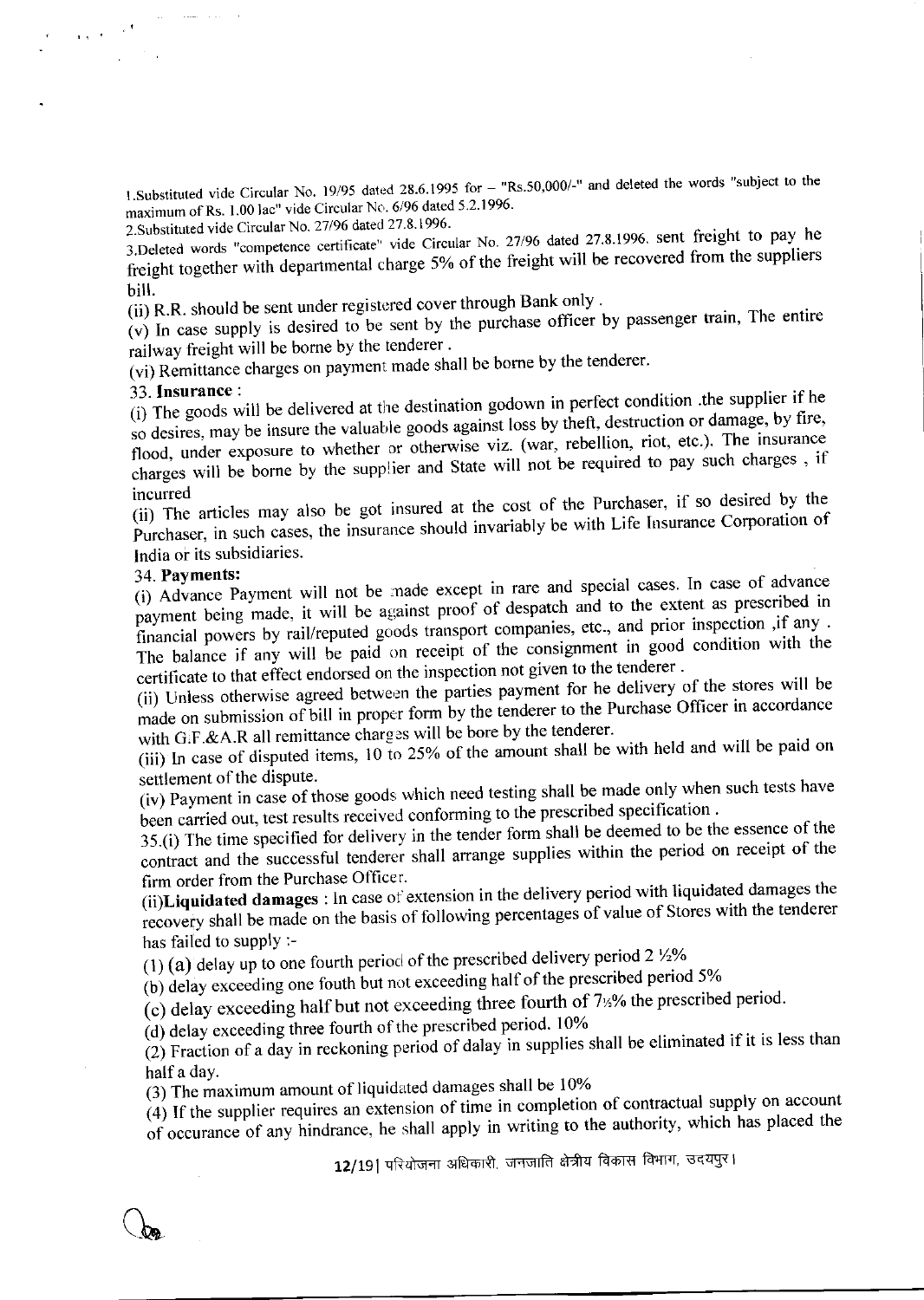1. Substituted vide Circular No. 19/95 dated 28.6.1995 for - "Rs.50,000/-" and deleted the words "subject to the maximum of Rs. 1.00 lac" vide Circular No. 6/96 dated 5.2.1996.

2. Substituted vide Circular No. 27/96 dated 27.8.1996.

3.Deleted words "competence certificate" vide Circular No. 27/96 dated 27.8.1996. sent freight to pay he freight together with departmental charge 5% of the freight will be recovered from the suppliers bill.

(ii) R.R. should be sent under registered cover through Bank only.

 $(v)$  In case supply is desired to be sent by the purchase officer by passenger train, The entire railway freight will be borne by the tenderer.

(vi) Remittance charges on payment made shall be borne by the tenderer.

#### 33. Insurance:

 $\sim 10$ 

(i) The goods will be delivered at the destination godown in perfect condition .the supplier if he so desires, may be insure the valuable goods against loss by theft, destruction or damage, by fire, flood, under exposure to whether or otherwise viz. (war, rebellion, riot, etc.). The insurance charges will be borne by the supplier and State will not be required to pay such charges, if incurred

(ii) The articles may also be got insured at the cost of the Purchaser, if so desired by the Purchaser, in such cases, the insurance should invariably be with Life Insurance Corporation of India or its subsidiaries.

#### 34. Payments:

(i) Advance Payment will not be made except in rare and special cases. In case of advance payment being made, it will be against proof of despatch and to the extent as prescribed in financial powers by rail/reputed goods transport companies, etc., and prior inspection ,if any . The balance if any will be paid on receipt of the consignment in good condition with the certificate to that effect endorsed on the inspection not given to the tenderer.

(ii) Unless otherwise agreed between the parties payment for he delivery of the stores will be made on submission of bill in proper form by the tenderer to the Purchase Officer in accordance with G.F.&A.R all remittance charges will be bore by the tenderer.

(iii) In case of disputed items, 10 to 25% of the amount shall be with held and will be paid on settlement of the dispute.

(iv) Payment in case of those goods which need testing shall be made only when such tests have been carried out, test results received conforming to the prescribed specification.

35.(i) The time specified for delivery in the tender form shall be deemed to be the essence of the contract and the successful tenderer shall arrange supplies within the period on receipt of the firm order from the Purchase Officer.

(ii)Liquidated damages : In case of extension in the delivery period with liquidated damages the recovery shall be made on the basis of following percentages of value of Stores with the tenderer has failed to supply :-

(1) (a) delay up to one fourth period of the prescribed delivery period  $2\frac{1}{2}\%$ 

(b) delay exceeding one fouth but not exceeding half of the prescribed period 5%

(c) delay exceeding half but not exceeding three fourth of  $7\frac{1}{2}$ % the prescribed period.

 $(d)$  delay exceeding three fourth of the prescribed period. 10%

(2) Fraction of a day in reckoning period of dalay in supplies shall be eliminated if it is less than half a day.

(3) The maximum amount of liquidated damages shall be 10%

(4) If the supplier requires an extension of time in completion of contractual supply on account of occurance of any hindrance, he shall apply in writing to the authority, which has placed the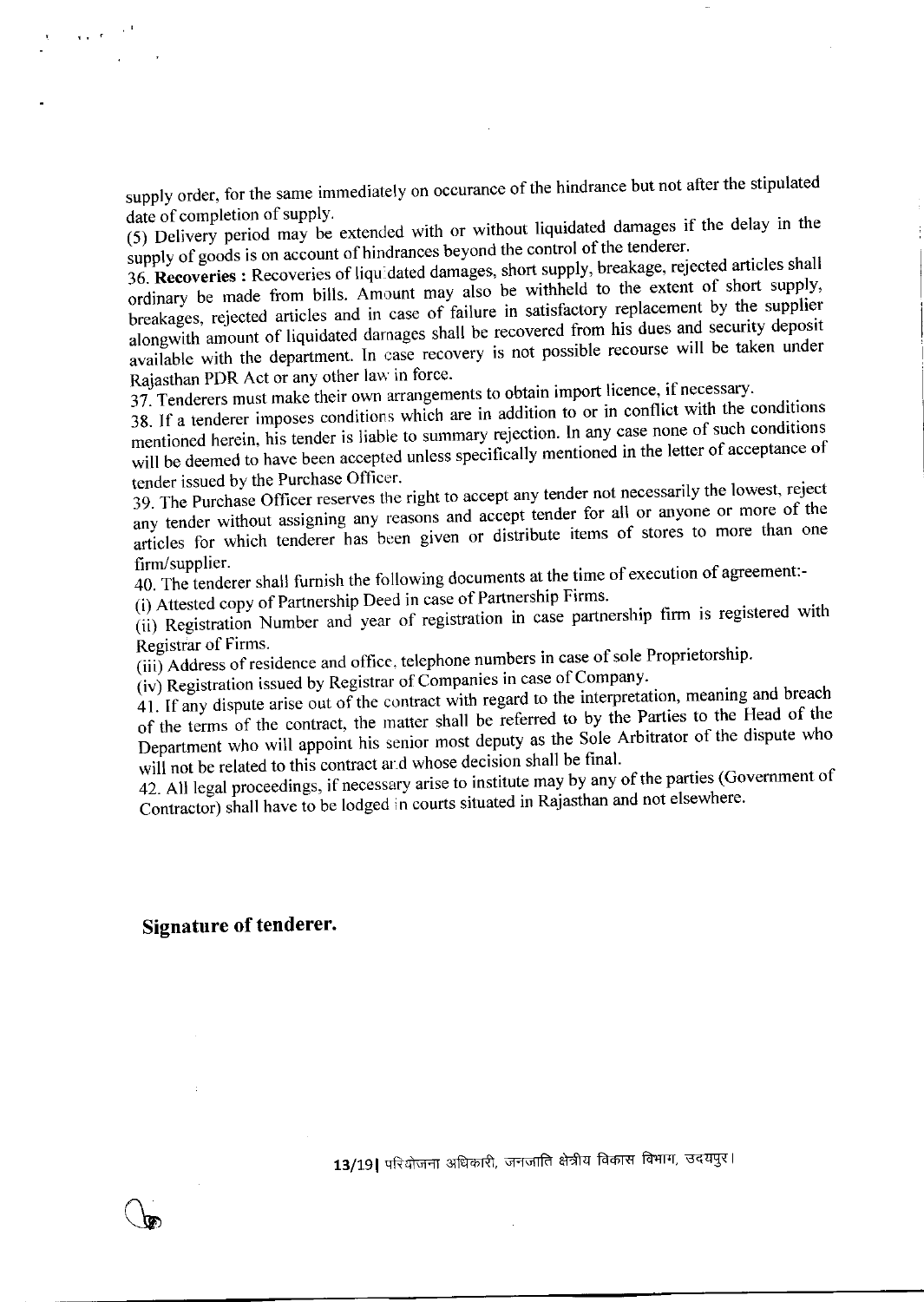supply order, for the same immediately on occurance of the hindrance but not after the stipulated date of completion of supply.

(5) Delivery period may be extended with or without liquidated damages if the delay in the supply of goods is on account of hindrances beyond the control of the tenderer.

36. Recoveries : Recoveries of liquidated damages, short supply, breakage, rejected articles shall ordinary be made from bills. Amount may also be withheld to the extent of short supply, breakages, rejected articles and in case of failure in satisfactory replacement by the supplier alongwith amount of liquidated damages shall be recovered from his dues and security deposit available with the department. In case recovery is not possible recourse will be taken under Rajasthan PDR Act or any other law in force.

37. Tenderers must make their own arrangements to obtain import licence, if necessary.

38. If a tenderer imposes conditions which are in addition to or in conflict with the conditions mentioned herein, his tender is liable to summary rejection. In any case none of such conditions will be deemed to have been accepted unless specifically mentioned in the letter of acceptance of tender issued by the Purchase Officer.

39. The Purchase Officer reserves the right to accept any tender not necessarily the lowest, reject any tender without assigning any reasons and accept tender for all or anyone or more of the articles for which tenderer has been given or distribute items of stores to more than one firm/supplier.

40. The tenderer shall furnish the following documents at the time of execution of agreement:-

(i) Attested copy of Partnership Deed in case of Partnership Firms.

(ii) Registration Number and year of registration in case partnership firm is registered with Registrar of Firms.

(iii) Address of residence and office, telephone numbers in case of sole Proprietorship.

(iv) Registration issued by Registrar of Companies in case of Company.

41. If any dispute arise out of the contract with regard to the interpretation, meaning and breach of the terms of the contract, the matter shall be referred to by the Parties to the Head of the Department who will appoint his senior most deputy as the Sole Arbitrator of the dispute who will not be related to this contract and whose decision shall be final.

42. All legal proceedings, if necessary arise to institute may by any of the parties (Government of Contractor) shall have to be lodged in courts situated in Rajasthan and not elsewhere.

#### **Signature of tenderer.**

 $\sqrt{2}$  ,  $\sqrt{2}$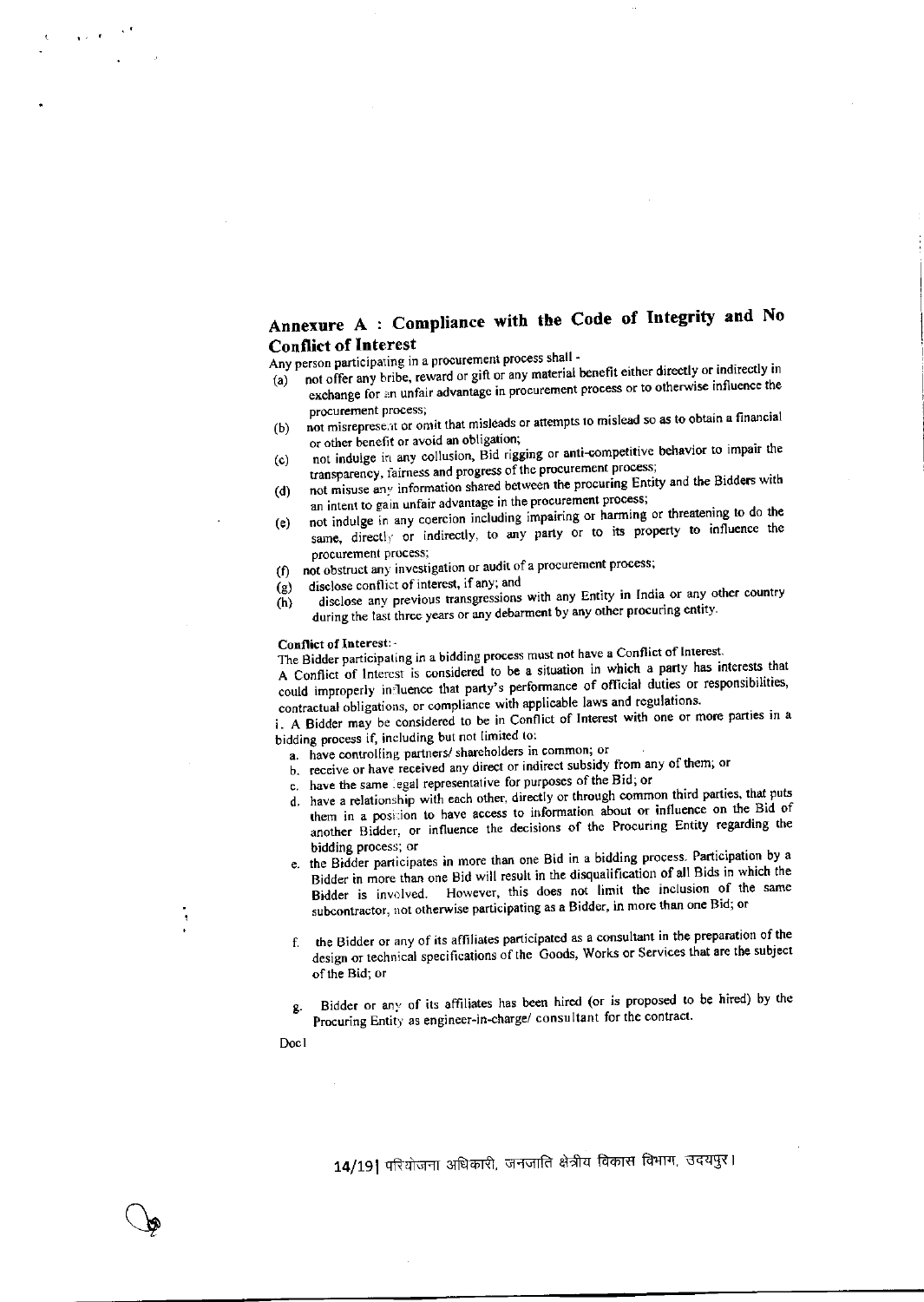## Annexure A : Compliance with the Code of Integrity and No **Conflict of Interest**

Any person participating in a procurement process shall -

- not offer any bribe, reward or gift or any material benefit either directly or indirectly in  $(a)$ exchange for an unfair advantage in procurement process or to otherwise influence the procurement process;
- not misrepresent or omit that misleads or attempts to mislead so as to obtain a financial (b) or other benefit or avoid an obligation;
- not indulge in any collusion, Bid rigging or anti-competitive behavior to impair the  $(c)$ transparency, fairness and progress of the procurement process;
- not misuse any information shared between the procuring Entity and the Bidders with  $(d)$ an intent to gain unfair advantage in the procurement process;
- not indulge in any coercion including impairing or harming or threatening to do the  $(e)$ same, directly or indirectly, to any party or to its property to influence the procurement process;
- not obstruct any investigation or audit of a procurement process;  $f \cap$
- disclose conflict of interest, if any; and  $(g)$
- disclose any previous transgressions with any Entity in India or any other country  $(h)$ during the last three years or any debarment by any other procuring entity.

#### Conflict of Interest:-

The Bidder participating in a bidding process must not have a Conflict of Interest.

A Conflict of Interest is considered to be a situation in which a party has interests that could improperly influence that party's performance of official duties or responsibilities, contractual obligations, or compliance with applicable laws and regulations.

i. A Bidder may be considered to be in Conflict of Interest with one or more parties in a bidding process if, including but not limited to:

a. have controlling partners/ shareholders in common; or

- b. receive or have received any direct or indirect subsidy from any of them, or
- c. have the same legal representative for purposes of the Bid; or
- d. have a relationship with each other, directly or through common third parties, that puts them in a position to have access to information about or influence on the Bid of another Bidder, or influence the decisions of the Procuring Entity regarding the bidding process; or
- e. the Bidder participates in more than one Bid in a bidding process. Participation by a Bidder in more than one Bid will result in the disqualification of all Bids in which the Bidder is involved. However, this does not limit the inclusion of the same subcontractor, not otherwise participating as a Bidder, in more than one Bid; or
- the Bidder or any of its affiliates participated as a consultant in the preparation of the design or technical specifications of the Goods, Works or Services that are the subject of the Bid; or
- Bidder or any of its affiliates has been hired (or is proposed to be hired) by the ġ. Procuring Entity as engineer-in-charge/ consultant for the contract.

Doc1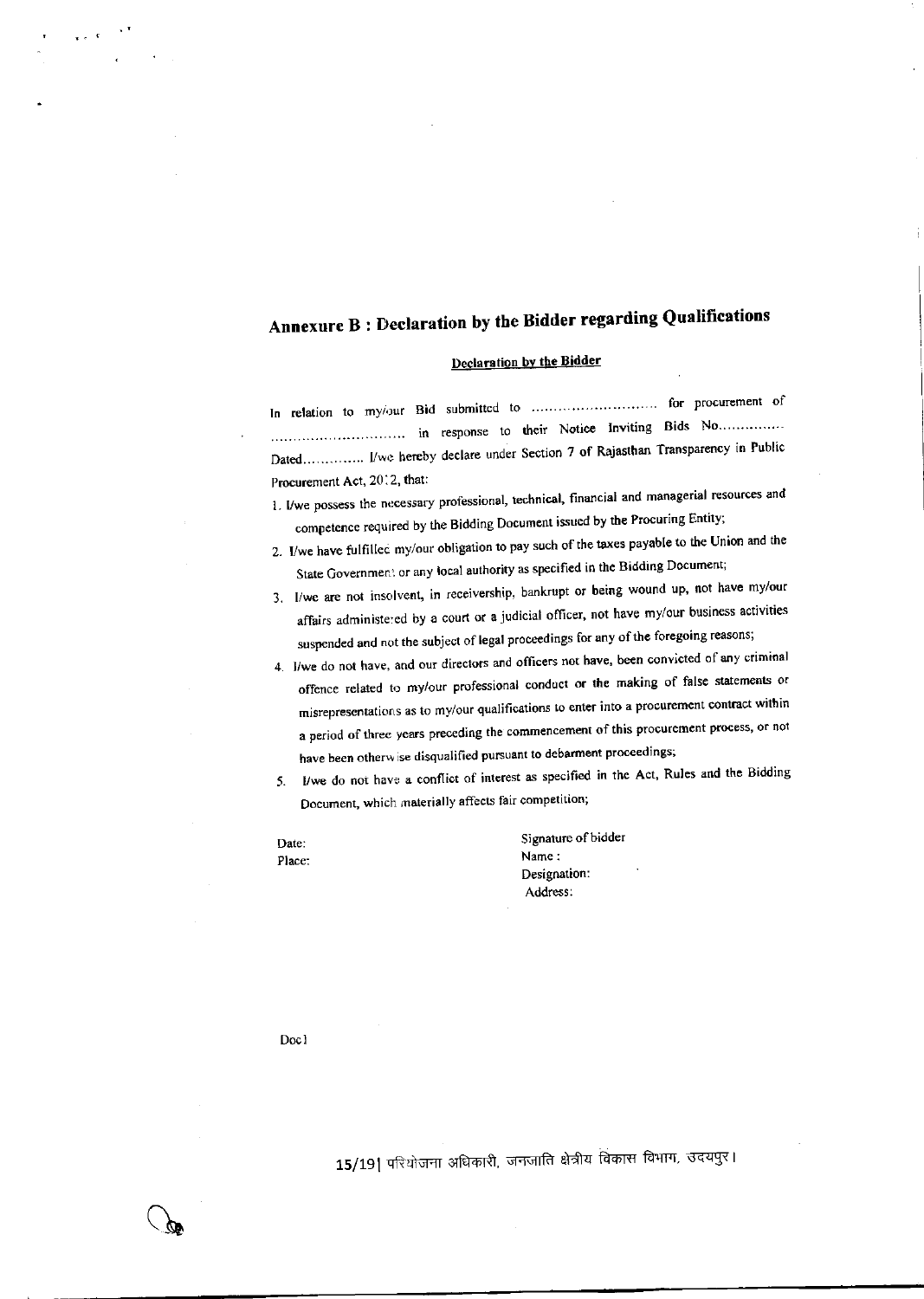# Annexure B : Declaration by the Bidder regarding Qualifications

#### Declaration by the Bidder

In relation to my/our Bid submitted to .............................. for procurement of Dated............... I/we hereby declare under Section 7 of Rajasthan Transparency in Public Procurement Act, 2012, that:

- 1. I/we possess the necessary professional, technical, financial and managerial resources and competence required by the Bidding Document issued by the Procuring Entity;
- 2. I/we have fulfilled my/our obligation to pay such of the taxes payable to the Union and the State Government or any local authority as specified in the Bidding Document;
- 3. I/we are not insolvent, in receivership, bankrupt or being wound up, not have my/our affairs administered by a court or a judicial officer, not have my/our business activities suspended and not the subject of legal proceedings for any of the foregoing reasons;
- 4. I/we do not have, and our directors and officers not have, been convicted of any criminal offence related to my/our professional conduct or the making of false statements or misrepresentations as to my/our qualifications to enter into a procurement contract within a period of three years preceding the commencement of this procurement process, or not have been otherwise disqualified pursuant to debarment proceedings;
- I/we do not have a conflict of interest as specified in the Act, Rules and the Bidding  $5.$ Document, which materially affects fair competition;

Date: Place: Signature of bidder Name: Designation: Address:

Doc1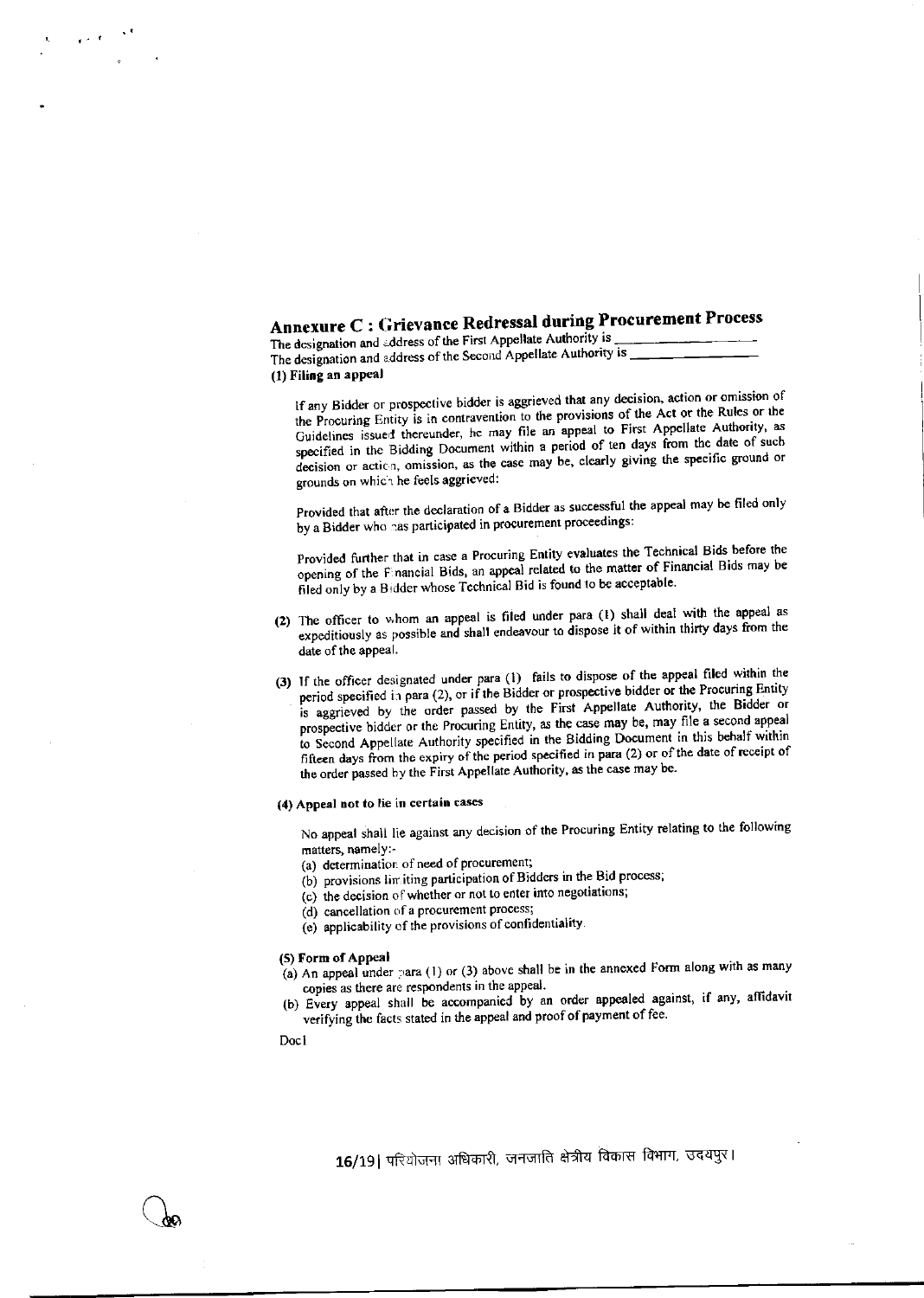# Annexure C : Grievance Redressal during Procurement Process

The designation and address of the First Appellate Authority is The designation and address of the Second Appellate Authority is (1) Filing an appeal

If any Bidder or prospective bidder is aggrieved that any decision, action or omission of the Procuring Entity is in contravention to the provisions of the Act or the Rules or the Guidelines issued thereunder, he may file an appeal to First Appellate Authority, as specified in the Bidding Document within a period of ten days from the date of such decision or action, omission, as the case may be, clearly giving the specific ground or grounds on which he feels aggrieved:

Provided that after the declaration of a Bidder as successful the appeal may be filed only by a Bidder who has participated in procurement proceedings:

Provided further that in case a Procuring Entity evaluates the Technical Bids before the opening of the Financial Bids, an appeal related to the matter of Financial Bids may be filed only by a Bidder whose Technical Bid is found to be acceptable.

- (2) The officer to whom an appeal is filed under para (1) shall deal with the appeal as expeditiously as possible and shall endeavour to dispose it of within thirty days from the date of the appeal.
- (3) If the officer designated under para (1) fails to dispose of the appeal filed within the period specified in para (2), or if the Bidder or prospective bidder or the Procuring Entity is aggrieved by the order passed by the First Appellate Authority, the Bidder or prospective bidder or the Procuring Entity, as the case may be, may file a second appeal to Second Appellate Authority specified in the Bidding Document in this behalf within fifteen days from the expiry of the period specified in para (2) or of the date of receipt of the order passed by the First Appellate Authority, as the case may be.
- (4) Appeal not to lie in certain cases

No appeal shall lie against any decision of the Procuring Entity relating to the following matters, namely:-

- (a) determination of need of procurement;
- (b) provisions limiting participation of Bidders in the Bid process;
- (c) the decision of whether or not to enter into negotiations;

(d) cancellation of a procurement process;

(e) applicability of the provisions of confidentiality.

#### (5) Form of Appeal

- (a) An appeal under para (1) or (3) above shall be in the annexed Form along with as many copies as there are respondents in the appeal.
- (b) Every appeal shall be accompanied by an order appealed against, if any, affidavit verifying the facts stated in the appeal and proof of payment of fee.

Doc1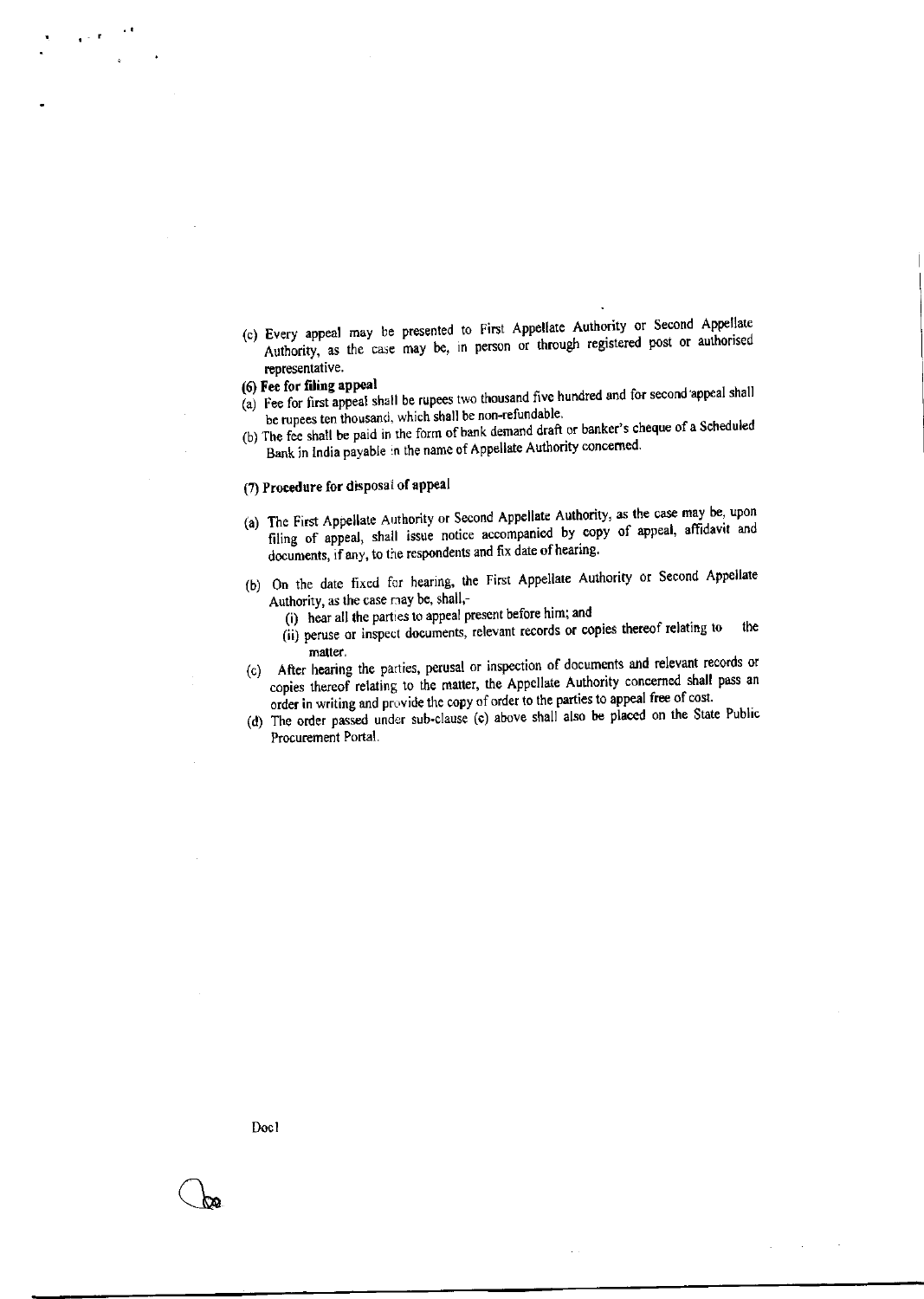(c) Every appeal may be presented to First Appellate Authority or Second Appellate Authority, as the case may be, in person or through registered post or authorised representative.

#### (6) Fee for filing appeal

- (a) Fee for first appeal shall be rupees two thousand five hundred and for second appeal shall be rupees ten thousand, which shall be non-refundable.
- (b) The fee shall be paid in the form of bank demand draft or banker's cheque of a Scheduled Bank in India payable in the name of Appellate Authority concerned.

#### (7) Procedure for disposal of appeal

- (a) The First Appellate Authority or Second Appellate Authority, as the case may be, upon filing of appeal, shall issue notice accompanied by copy of appeal, affidavit and documents, if any, to the respondents and fix date of hearing.
- (b) On the date fixed for hearing, the First Appellate Authority or Second Appellate Authority, as the case may be, shall,-
	- (i) hear all the parties to appeal present before him; and
	- (ii) peruse or inspect documents, relevant records or copies thereof relating to the matter.
- (c) After hearing the parties, perusal or inspection of documents and relevant records or copies thereof relating to the matter, the Appellate Authority concerned shall pass an order in writing and provide the copy of order to the parties to appeal free of cost.
- (d) The order passed under sub-clause (c) above shall also be placed on the State Public Procurement Portal.

Doc1